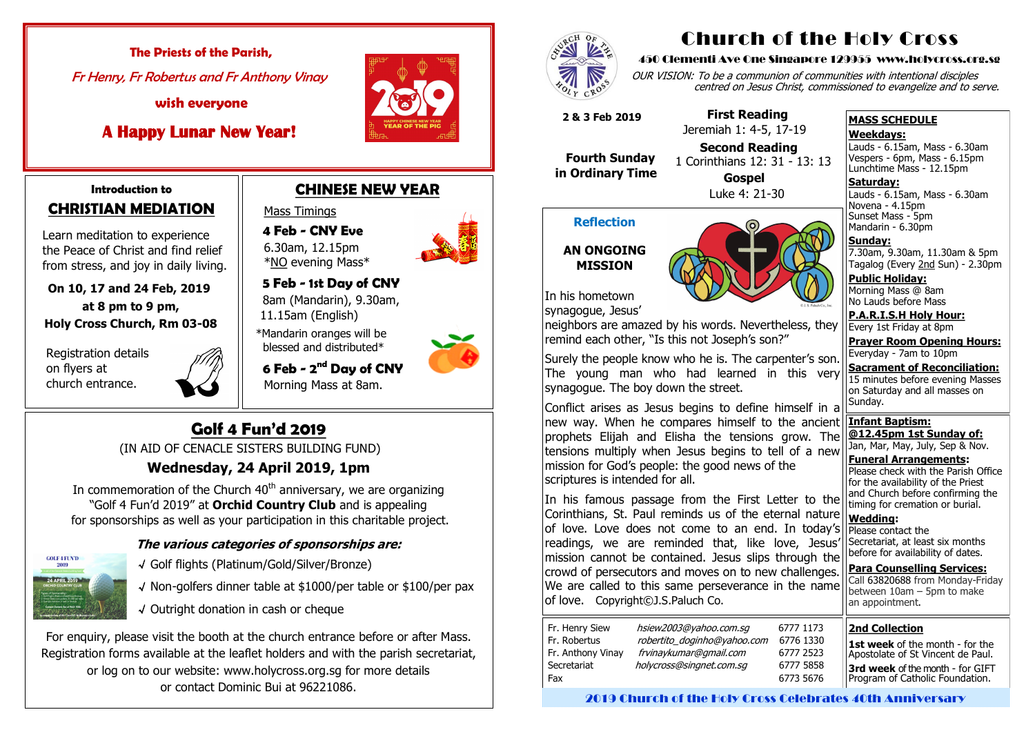#### **Introduction to CHRISTIAN MEDIATION**

 Learn meditation to experience the Peace of Christ and find relief from stress, and joy in daily living.

 **On 10, 17 and 24 Feb, 2019 at 8 pm to 9 pm, Holy Cross Church, Rm 03-08**

 Registration details on flyers at church entrance.



In commemoration of the Church  $40<sup>th</sup>$  anniversary, we are organizing "Golf 4 Fun'd 2019" at **Orchid Country Club** and is appealing for sponsorships as well as your participation in this charitable project.



# **Golf 4 Fun'd 2019**

(IN AID OF CENACLE SISTERS BUILDING FUND)

### **Wednesday, 24 April 2019, 1pm**

 **4 Feb - CNY Eve**  6.30am, 12.15pm \*<u>NO</u> evening Mass\*

#### **The various categories of sponsorships are:**

- √ Golf flights (Platinum/Gold/Silver/Bronze)
- √ Non-golfers dinner table at \$1000/per table or \$100/per pax
- √ Outright donation in cash or cheque

For enquiry, please visit the booth at the church entrance before or after Mass. Registration forms available at the leaflet holders and with the parish secretariat, or log on to our website: www.holycross.org.sg for more details or contact Dominic Bui at 96221086.



Lauds - 6.15am, Mass - 6.30am Novena - 4.15pm Sunset Mass - 5pm Mandarin - 6.30pm

### **CHINESE NEW YEAR**

#### Mass Timings

 **5 Feb - 1st Day of CNY** 8am (Mandarin), 9.30am, 11.15am (English)

 \*Mandarin oranges will be blessed and distributed\*

 **6 Feb - 2 nd Day of CNY** Morning Mass at 8am.





 **The Priests of the Parish,** Fr Henry, Fr Robertus and Fr Anthony Vinay

 **wish everyone** 

 **A Happy Lunar New Year!** 



# Church of the Holy Cross

#### 450 Clementi Ave One Singapore 129955 www.holycross.org.sg

OUR VISION: To be a communion of communities with intentional disciples centred on Jesus Christ, commissioned to evangelize and to serve.

#### **MASS SCHEDULE**

#### **Weekdays:**

Lauds - 6.15am, Mass - 6.30am Vespers - 6pm, Mass - 6.15pm Lunchtime Mass - 12.15pm

#### **Saturday:**

## **Sunday:**

7.30am, 9.30am, 11.30am & 5pm Tagalog (Every 2nd Sun) - 2.30pm

**Public Holiday:**  Morning Mass @ 8am No Lauds before Mass

**P.A.R.I.S.H Holy Hour:** Every 1st Friday at 8pm

**Prayer Room Opening Hours:** Everyday - 7am to 10pm

**Sacrament of Reconciliation:** 15 minutes before evening Masses on Saturday and all masses on Sunday.

#### **Infant Baptism: @12.45pm 1st Sunday of:**

Jan, Mar, May, July, Sep & Nov. **Funeral Arrangements:** 

Please check with the Parish Office for the availability of the Priest and Church before confirming the timing for cremation or burial.

#### **Wedding:**  Please contact the Secretariat, at least six months before for availability of dates.

**Para Counselling Services:** Call [63820688](tel:+6563820688) from Monday-Friday between  $10$ am – 5pm to make an appointment.

#### **Reflection**



In his hometown

synagogue, Jesus'

neighbors are amazed by his words. Nevertheless, they remind each other, "Is this not Joseph's son?"

Surely the people know who he is. The carpenter's son. The young man who had learned in this very synagogue. The boy down the street.

Conflict arises as Jesus begins to define himself in a new way. When he compares himself to the ancient prophets Elijah and Elisha the tensions grow. The tensions multiply when Jesus begins to tell of a new mission for God's people: the good news of the scriptures is intended for all.

In his famous passage from the First Letter to the Corinthians, St. Paul reminds us of the eternal nature of love. Love does not come to an end. In today's readings, we are reminded that, like love, Jesus' mission cannot be contained. Jesus slips through the crowd of persecutors and moves on to new challenges. We are called to this same perseverance in the name of love. Copyright©J.S.Paluch Co.

 **2 & 3 Feb 2019**

 **Fourth Sunday in Ordinary Time**

 **First Reading** Jeremiah 1: 4-5, 17-19

 **Second Reading** 1 Corinthians 12: 31 - 13: 13



 **Gospel** Luke 4: 21-30

#### **2nd Collection**

**1st week** of the month - for the Apostolate of St Vincent de Paul. **3rd week** of the month - for GIFT Program of Catholic Foundation.

2019 Church of the Holy Cross Celebrates 40th Anniversary